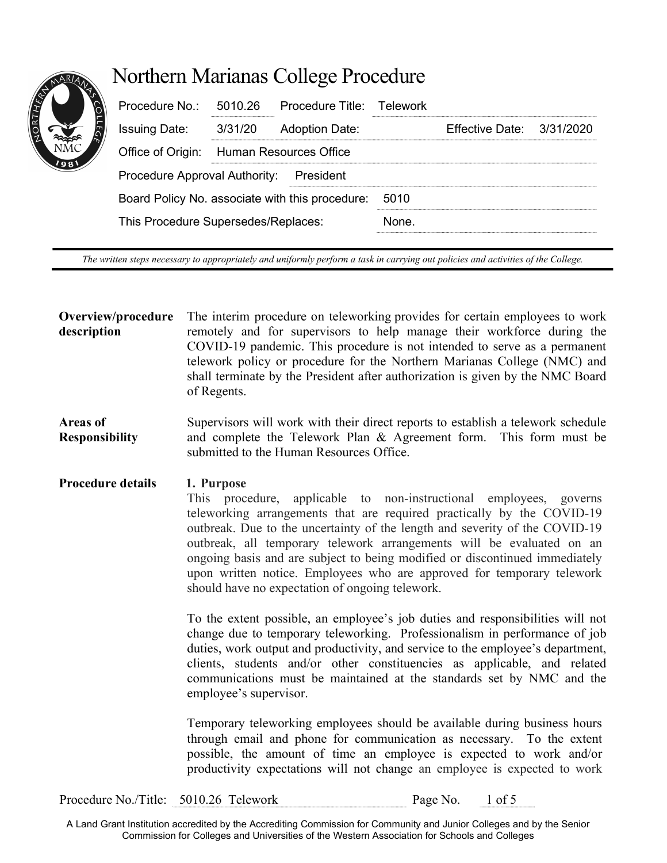# Northern Marianas College Procedure

| Procedure $No.: 5010.26$                        |                                          | Procedure Title: Telework |      |                             |  |
|-------------------------------------------------|------------------------------------------|---------------------------|------|-----------------------------|--|
| <b>Issuing Date:</b>                            | 3/31/20                                  | <b>Adoption Date:</b>     |      | Effective Date: $3/31/2020$ |  |
|                                                 | Office of Origin: Human Resources Office |                           |      |                             |  |
| Procedure Approval Authority: President         |                                          |                           |      |                             |  |
| Board Policy No. associate with this procedure: |                                          |                           | 5010 |                             |  |
| This Procedure Supersedes/Replaces:             |                                          |                           | None |                             |  |
|                                                 |                                          |                           |      |                             |  |

The written steps necessary to appropriately and uniformly perform a task in carrying out policies and activities of the College.

Overview/procedure description The interim procedure on teleworking provides for certain employees to work remotely and for supervisors to help manage their workforce during the COVID-19 pandemic. This procedure is not intended to serve as a permanent telework policy or procedure for the Northern Marianas College (NMC) and shall terminate by the President after authorization is given by the NMC Board of Regents.

Areas of Responsibility Supervisors will work with their direct reports to establish a telework schedule and complete the Telework Plan & Agreement form. This form must be submitted to the Human Resources Office.

# Procedure details 1. Purpose

This procedure, applicable to non-instructional employees, governs teleworking arrangements that are required practically by the COVID-19 outbreak. Due to the uncertainty of the length and severity of the COVID-19 outbreak, all temporary telework arrangements will be evaluated on an ongoing basis and are subject to being modified or discontinued immediately upon written notice. Employees who are approved for temporary telework should have no expectation of ongoing telework.

To the extent possible, an employee's job duties and responsibilities will not change due to temporary teleworking. Professionalism in performance of job duties, work output and productivity, and service to the employee's department, clients, students and/or other constituencies as applicable, and related communications must be maintained at the standards set by NMC and the employee's supervisor.

Temporary teleworking employees should be available during business hours through email and phone for communication as necessary. To the extent possible, the amount of time an employee is expected to work and/or productivity expectations will not change an employee is expected to work

Procedure No./Title: 5010.26 Telework Page No. 1 of 5

A Land Grant Institution accredited by the Accrediting Commission for Community and Junior Colleges and by the Senior Commission for Colleges and Universities of the Western Association for Schools and Colleges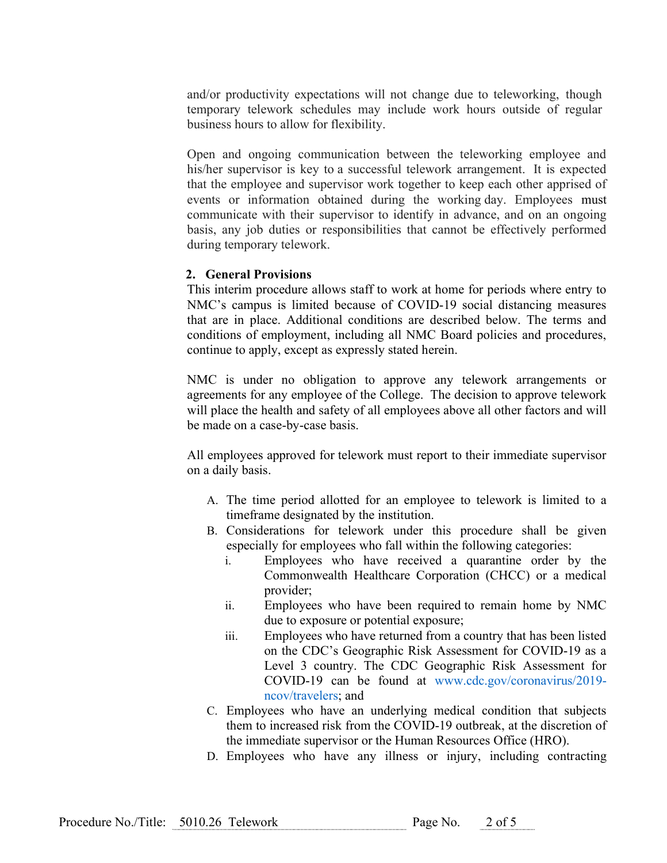and/or productivity expectations will not change due to teleworking, though temporary telework schedules may include work hours outside of regular business hours to allow for flexibility.

Open and ongoing communication between the teleworking employee and his/her supervisor is key to a successful telework arrangement. It is expected that the employee and supervisor work together to keep each other apprised of events or information obtained during the working day. Employees must communicate with their supervisor to identify in advance, and on an ongoing basis, any job duties or responsibilities that cannot be effectively performed during temporary telework.

### 2. General Provisions

This interim procedure allows staff to work at home for periods where entry to NMC's campus is limited because of COVID-19 social distancing measures that are in place. Additional conditions are described below. The terms and conditions of employment, including all NMC Board policies and procedures, continue to apply, except as expressly stated herein.

NMC is under no obligation to approve any telework arrangements or agreements for any employee of the College. The decision to approve telework will place the health and safety of all employees above all other factors and will be made on a case-by-case basis.

All employees approved for telework must report to their immediate supervisor on a daily basis.

- A. The time period allotted for an employee to telework is limited to a timeframe designated by the institution.
- B. Considerations for telework under this procedure shall be given especially for employees who fall within the following categories:
	- i. Employees who have received a quarantine order by the Commonwealth Healthcare Corporation (CHCC) or a medical provider;
	- ii. Employees who have been required to remain home by NMC due to exposure or potential exposure;
	- iii. Employees who have returned from a country that has been listed on the CDC's Geographic Risk Assessment for COVID-19 as a Level 3 country. The CDC Geographic Risk Assessment for COVID-19 can be found at www.cdc.gov/coronavirus/2019 ncov/travelers; and
- C. Employees who have an underlying medical condition that subjects them to increased risk from the COVID-19 outbreak, at the discretion of the immediate supervisor or the Human Resources Office (HRO).
- D. Employees who have any illness or injury, including contracting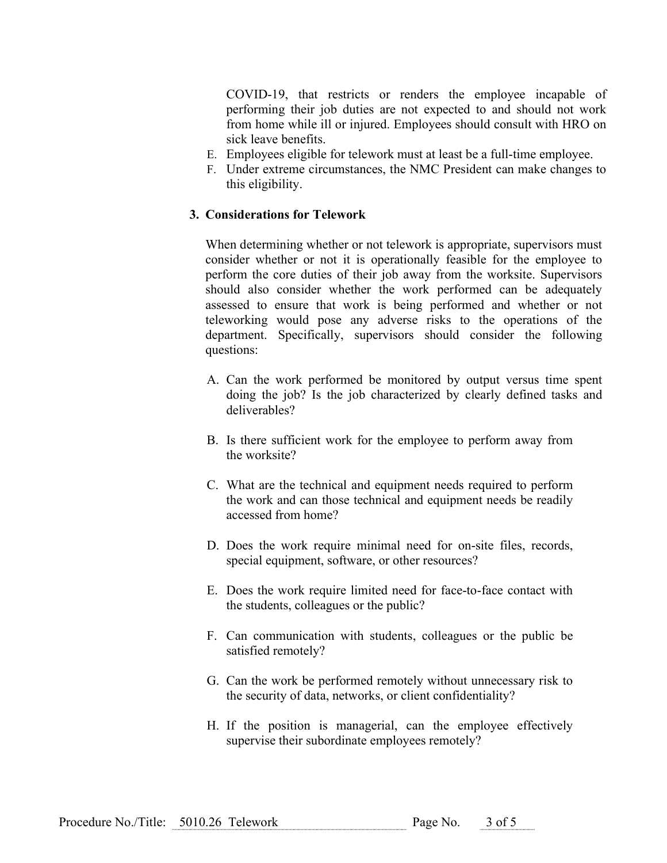COVID-19, that restricts or renders the employee incapable of performing their job duties are not expected to and should not work from home while ill or injured. Employees should consult with HRO on sick leave benefits.

- E. Employees eligible for telework must at least be a full-time employee.
- F. Under extreme circumstances, the NMC President can make changes to this eligibility.

#### 3. Considerations for Telework

When determining whether or not telework is appropriate, supervisors must consider whether or not it is operationally feasible for the employee to perform the core duties of their job away from the worksite. Supervisors should also consider whether the work performed can be adequately assessed to ensure that work is being performed and whether or not teleworking would pose any adverse risks to the operations of the department. Specifically, supervisors should consider the following questions:

- A. Can the work performed be monitored by output versus time spent doing the job? Is the job characterized by clearly defined tasks and deliverables?
- B. Is there sufficient work for the employee to perform away from the worksite?
- C. What are the technical and equipment needs required to perform the work and can those technical and equipment needs be readily accessed from home?
- D. Does the work require minimal need for on-site files, records, special equipment, software, or other resources?
- E. Does the work require limited need for face-to-face contact with the students, colleagues or the public?
- F. Can communication with students, colleagues or the public be satisfied remotely?
- G. Can the work be performed remotely without unnecessary risk to the security of data, networks, or client confidentiality?
- H. If the position is managerial, can the employee effectively supervise their subordinate employees remotely?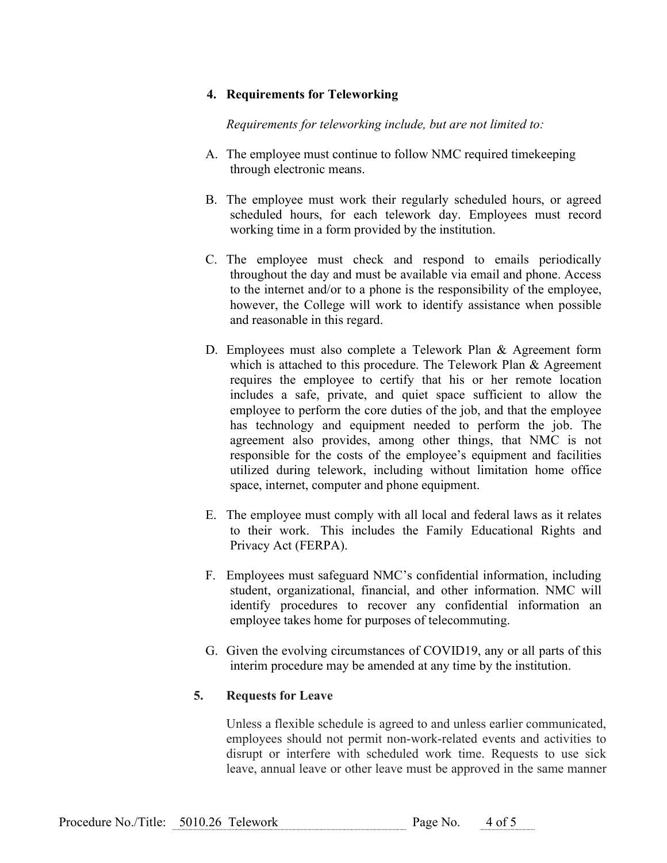# 4. Requirements for Teleworking

Requirements for teleworking include, but are not limited to:

- A. The employee must continue to follow NMC required timekeeping through electronic means.
- B. The employee must work their regularly scheduled hours, or agreed scheduled hours, for each telework day. Employees must record working time in a form provided by the institution.
- C. The employee must check and respond to emails periodically throughout the day and must be available via email and phone. Access to the internet and/or to a phone is the responsibility of the employee, however, the College will work to identify assistance when possible and reasonable in this regard.
- D. Employees must also complete a Telework Plan & Agreement form which is attached to this procedure. The Telework Plan & Agreement requires the employee to certify that his or her remote location includes a safe, private, and quiet space sufficient to allow the employee to perform the core duties of the job, and that the employee has technology and equipment needed to perform the job. The agreement also provides, among other things, that NMC is not responsible for the costs of the employee's equipment and facilities utilized during telework, including without limitation home office space, internet, computer and phone equipment.
- E. The employee must comply with all local and federal laws as it relates to their work. This includes the Family Educational Rights and Privacy Act (FERPA).
- F. Employees must safeguard NMC's confidential information, including student, organizational, financial, and other information. NMC will identify procedures to recover any confidential information an employee takes home for purposes of telecommuting.
- G. Given the evolving circumstances of COVID19, any or all parts of this interim procedure may be amended at any time by the institution.

# 5. Requests for Leave

Unless a flexible schedule is agreed to and unless earlier communicated, employees should not permit non-work-related events and activities to disrupt or interfere with scheduled work time. Requests to use sick leave, annual leave or other leave must be approved in the same manner